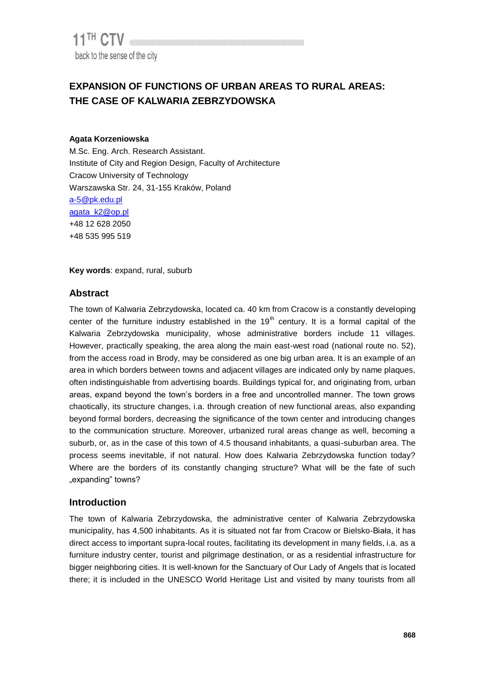# **EXPANSION OF FUNCTIONS OF URBAN AREAS TO RURAL AREAS: THE CASE OF KALWARIA ZEBRZYDOWSKA**

#### **Agata Korzeniowska**

M.Sc. Eng. Arch. Research Assistant. Institute of City and Region Design, Faculty of Architecture Cracow University of Technology Warszawska Str. 24, 31-155 Kraków, Poland a-5@pk.edu.pl [agata\\_k2@op.pl](mailto:agata_k2@op.pl) +48 12 628 2050 +48 535 995 519

**Key words**: expand, rural, suburb

## **Abstract**

The town of Kalwaria Zebrzydowska, located ca. 40 km from Cracow is a constantly developing center of the furniture industry established in the  $19<sup>th</sup>$  century. It is a formal capital of the Kalwaria Zebrzydowska municipality, whose administrative borders include 11 villages. However, practically speaking, the area along the main east-west road (national route no. 52), from the access road in Brody, may be considered as one big urban area. It is an example of an area in which borders between towns and adjacent villages are indicated only by name plaques, often indistinguishable from advertising boards. Buildings typical for, and originating from, urban areas, expand beyond the town's borders in a free and uncontrolled manner. The town grows chaotically, its structure changes, i.a. through creation of new functional areas, also expanding beyond formal borders, decreasing the significance of the town center and introducing changes to the communication structure. Moreover, urbanized rural areas change as well, becoming a suburb, or, as in the case of this town of 4.5 thousand inhabitants, a quasi-suburban area. The process seems inevitable, if not natural. How does Kalwaria Zebrzydowska function today? Where are the borders of its constantly changing structure? What will be the fate of such "expanding" towns?

## **Introduction**

The town of Kalwaria Zebrzydowska, the administrative center of Kalwaria Zebrzydowska municipality, has 4,500 inhabitants. As it is situated not far from Cracow or Bielsko-Biała, it has direct access to important supra-local routes, facilitating its development in many fields, i.a. as a furniture industry center, tourist and pilgrimage destination, or as a residential infrastructure for bigger neighboring cities. It is well-known for the Sanctuary of Our Lady of Angels that is located there; it is included in the UNESCO World Heritage List and visited by many tourists from all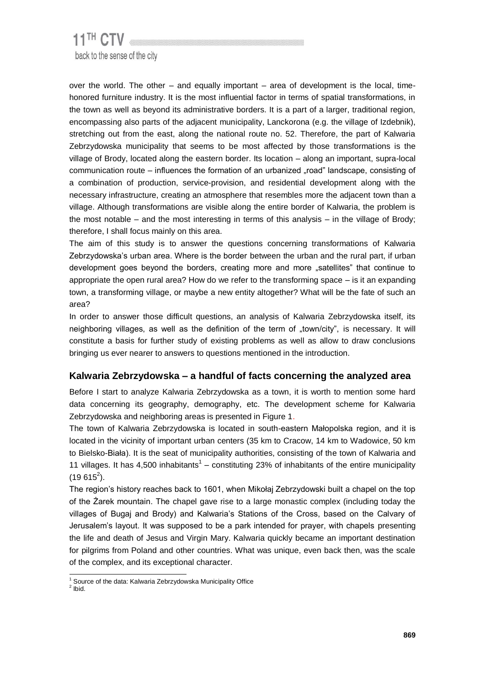# 11<sup>TH</sup> CTV back to the sense of the city

over the world. The other – and equally important – area of development is the local, timehonored furniture industry. It is the most influential factor in terms of spatial transformations, in the town as well as beyond its administrative borders. It is a part of a larger, traditional region, encompassing also parts of the adjacent municipality, Lanckorona (e.g. the village of Izdebnik), stretching out from the east, along the national route no. 52. Therefore, the part of Kalwaria Zebrzydowska municipality that seems to be most affected by those transformations is the village of Brody, located along the eastern border. Its location – along an important, supra-local communication route – influences the formation of an urbanized "road" landscape, consisting of a combination of production, service-provision, and residential development along with the necessary infrastructure, creating an atmosphere that resembles more the adjacent town than a village. Although transformations are visible along the entire border of Kalwaria, the problem is the most notable – and the most interesting in terms of this analysis – in the village of Brody; therefore, I shall focus mainly on this area.

The aim of this study is to answer the questions concerning transformations of Kalwaria Zebrzydowska's urban area. Where is the border between the urban and the rural part, if urban development goes beyond the borders, creating more and more "satellites" that continue to appropriate the open rural area? How do we refer to the transforming space – is it an expanding town, a transforming village, or maybe a new entity altogether? What will be the fate of such an area?

In order to answer those difficult questions, an analysis of Kalwaria Zebrzydowska itself, its neighboring villages, as well as the definition of the term of "town/city", is necessary. It will constitute a basis for further study of existing problems as well as allow to draw conclusions bringing us ever nearer to answers to questions mentioned in the introduction.

# **Kalwaria Zebrzydowska – a handful of facts concerning the analyzed area**

Before I start to analyze Kalwaria Zebrzydowska as a town, it is worth to mention some hard data concerning its geography, demography, etc. The development scheme for Kalwaria Zebrzydowska and neighboring areas is presented in Figure 1.

The town of Kalwaria Zebrzydowska is located in south-eastern Małopolska region, and it is located in the vicinity of important urban centers (35 km to Cracow, 14 km to Wadowice, 50 km to Bielsko-Biała). It is the seat of municipality authorities, consisting of the town of Kalwaria and 11 villages. It has 4,500 inhabitants<sup>1</sup> – constituting 23% of inhabitants of the entire municipality  $(19615^2)$ .

The region's history reaches back to 1601, when Mikołaj Zebrzydowski built a chapel on the top of the Żarek mountain. The chapel gave rise to a large monastic complex (including today the villages of Bugaj and Brody) and Kalwaria's Stations of the Cross, based on the Calvary of Jerusalem's layout. It was supposed to be a park intended for prayer, with chapels presenting the life and death of Jesus and Virgin Mary. Kalwaria quickly became an important destination for pilgrims from Poland and other countries. What was unique, even back then, was the scale of the complex, and its exceptional character.

l  $1$  Source of the data: Kalwaria Zebrzydowska Municipality Office

 $<sup>2</sup>$  lbid.</sup>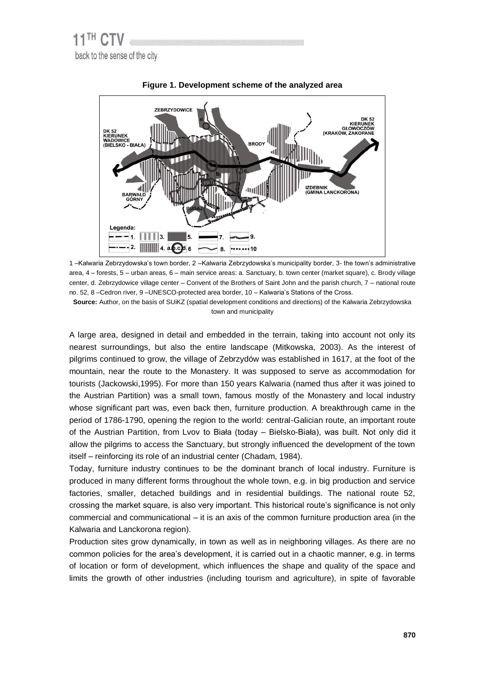



1 –Kalwaria Zebrzydowska's town border, 2 –Kalwaria Zebrzydowska's municipality border, 3- the town's administrative area, 4 – forests, 5 – urban areas, 6 – main service areas: a. Sanctuary, b. town center (market square), c. Brody village center, d. Zebrzydowice village center – Convent of the Brothers of Saint John and the parish church, 7 – national route no. 52, 8 –Cedron river, 9 –UNESCO-protected area border, 10 – Kalwaria's Stations of the Cross.

**Source:** Author, on the basis of SUiKZ (spatial development conditions and directions) of the Kalwaria Zebrzydowska town and municipality

A large area, designed in detail and embedded in the terrain, taking into account not only its nearest surroundings, but also the entire landscape (Mitkowska, 2003). As the interest of pilgrims continued to grow, the village of Zebrzydów was established in 1617, at the foot of the mountain, near the route to the Monastery. It was supposed to serve as accommodation for tourists (Jackowski,1995). For more than 150 years Kalwaria (named thus after it was joined to the Austrian Partition) was a small town, famous mostly of the Monastery and local industry whose significant part was, even back then, furniture production. A breakthrough came in the period of [1786-](http://pl.wikipedia.org/wiki/1786)1790, opening the region to the world: central-Galician route, an important route of the Austrian Partition, from Lvov to Biała (today – Bielsko-Biała), was built. Not only did it allow the pilgrims to access the Sanctuary, but strongly influenced the development of the town itself – reinforcing its role of an industrial center (Chadam, 1984).

Today, furniture industry continues to be the dominant branch of local industry. Furniture is produced in many different forms throughout the whole town, e.g. in big production and service factories, smaller, detached buildings and in residential buildings. The national route 52, crossing the market square, is also very important. This historical route's significance is not only commercial and communicational – it is an axis of the common furniture production area (in the Kalwaria and Lanckorona region).

Production sites grow dynamically, in town as well as in neighboring villages. As there are no common policies for the area's development, it is carried out in a chaotic manner, e.g. in terms of location or form of development, which influences the shape and quality of the space and limits the growth of other industries (including tourism and agriculture), in spite of favorable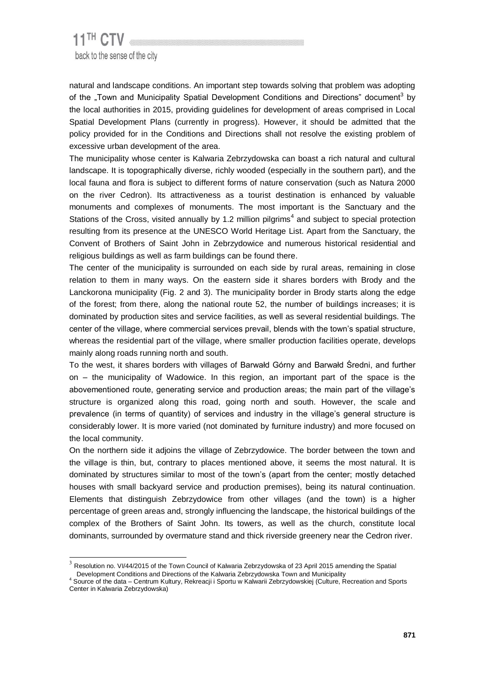l

natural and landscape conditions. An important step towards solving that problem was adopting of the "Town and Municipality Spatial Development Conditions and Directions" document<sup>3</sup> by the local authorities in 2015, providing guidelines for development of areas comprised in Local Spatial Development Plans (currently in progress). However, it should be admitted that the policy provided for in the Conditions and Directions shall not resolve the existing problem of excessive urban development of the area.

The municipality whose center is Kalwaria Zebrzydowska can boast a rich natural and cultural landscape. It is topographically diverse, richly wooded (especially in the southern part), and the local fauna and flora is subject to different forms of nature conservation (such as Natura 2000 on the river Cedron). Its attractiveness as a tourist destination is enhanced by valuable monuments and complexes of monuments. The most important is the Sanctuary and the Stations of the Cross, visited annually by 1.2 million pilgrims<sup>4</sup> and subject to special protection resulting from its presence at the UNESCO World Heritage List. Apart from the Sanctuary, the Convent of Brothers of Saint John in Zebrzydowice and numerous historical residential and religious buildings as well as farm buildings can be found there.

The center of the municipality is surrounded on each side by rural areas, remaining in close relation to them in many ways. On the eastern side it shares borders with Brody and the Lanckorona municipality (Fig. 2 and 3). The municipality border in Brody starts along the edge of the forest; from there, along the national route 52, the number of buildings increases; it is dominated by production sites and service facilities, as well as several residential buildings. The center of the village, where commercial services prevail, blends with the town's spatial structure, whereas the residential part of the village, where smaller production facilities operate, develops mainly along roads running north and south.

To the west, it shares borders with villages of Barwałd Górny and Barwałd Średni, and further on – the municipality of Wadowice. In this region, an important part of the space is the abovementioned route, generating service and production areas; the main part of the village's structure is organized along this road, going north and south. However, the scale and prevalence (in terms of quantity) of services and industry in the village's general structure is considerably lower. It is more varied (not dominated by furniture industry) and more focused on the local community.

On the northern side it adjoins the village of Zebrzydowice. The border between the town and the village is thin, but, contrary to places mentioned above, it seems the most natural. It is dominated by structures similar to most of the town's (apart from the center; mostly detached houses with small backyard service and production premises), being its natural continuation. Elements that distinguish Zebrzydowice from other villages (and the town) is a higher percentage of green areas and, strongly influencing the landscape, the historical buildings of the complex of the Brothers of Saint John. Its towers, as well as the church, constitute local dominants, surrounded by overmature stand and thick riverside greenery near the Cedron river.

 $3$  Resolution no. VI/44/2015 of the Town Council of Kalwaria Zebrzydowska of 23 April 2015 amending the Spatial Development Conditions and Directions of the Kalwaria Zebrzydowska Town and Municipality

<sup>4</sup> Source of the data – Centrum Kultury, Rekreacji i Sportu w Kalwarii Zebrzydowskiej (Culture, Recreation and Sports Center in Kalwaria Zebrzydowska)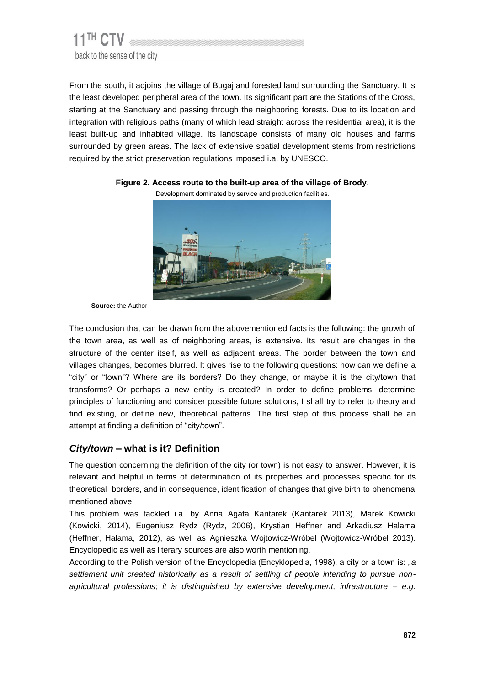

From the south, it adjoins the village of Bugaj and forested land surrounding the Sanctuary. It is the least developed peripheral area of the town. Its significant part are the Stations of the Cross, starting at the Sanctuary and passing through the neighboring forests. Due to its location and integration with religious paths (many of which lead straight across the residential area), it is the least built-up and inhabited village. Its landscape consists of many old houses and farms surrounded by green areas. The lack of extensive spatial development stems from restrictions required by the strict preservation regulations imposed i.a. by UNESCO.



#### **Figure 2. Access route to the built-up area of the village of Brody**.

**Source:** the Author

The conclusion that can be drawn from the abovementioned facts is the following: the growth of the town area, as well as of neighboring areas, is extensive. Its result are changes in the structure of the center itself, as well as adjacent areas. The border between the town and villages changes, becomes blurred. It gives rise to the following questions: how can we define a "city" or "town"? Where are its borders? Do they change, or maybe it is the city/town that transforms? Or perhaps a new entity is created? In order to define problems, determine principles of functioning and consider possible future solutions, I shall try to refer to theory and find existing, or define new, theoretical patterns. The first step of this process shall be an attempt at finding a definition of "city/town".

## *City/town –* **what is it? Definition**

The question concerning the definition of the city (or town) is not easy to answer. However, it is relevant and helpful in terms of determination of its properties and processes specific for its theoretical borders, and in consequence, identification of changes that give birth to phenomena mentioned above.

This problem was tackled i.a. by Anna Agata Kantarek (Kantarek 2013), Marek Kowicki (Kowicki, 2014), Eugeniusz Rydz (Rydz, 2006), Krystian Heffner and Arkadiusz Halama (Heffner, Halama, 2012), as well as Agnieszka Wojtowicz-Wróbel (Wojtowicz-Wróbel 2013). Encyclopedic as well as literary sources are also worth mentioning.

According to the Polish version of the Encyclopedia (Encyklopedia, 1998), a city or a town is: "*a settlement unit created historically as a result of settling of people intending to pursue nonagricultural professions; it is distinguished by extensive development, infrastructure – e.g.*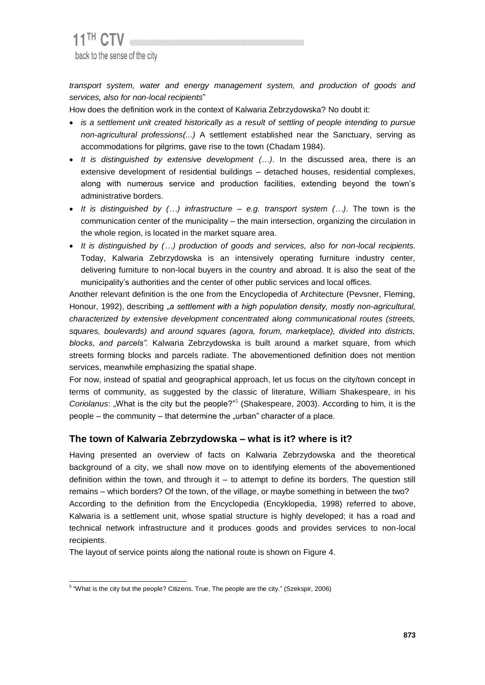*transport system, water and energy management system, and production of goods and services, also for non-local recipients*"

How does the definition work in the context of Kalwaria Zebrzydowska? No doubt it:

- **•** is a settlement unit created historically as a result of settling of people intending to pursue *non-agricultural professions(...)* A settlement established near the Sanctuary, serving as accommodations for pilgrims, gave rise to the town (Chadam 1984).
- *It is distinguished by extensive development (…)*. In the discussed area, there is an extensive development of residential buildings – detached houses, residential complexes, along with numerous service and production facilities, extending beyond the town's administrative borders.
- *It is distinguished by (…) infrastructure – e.g. transport system (…).* The town is the communication center of the municipality – the main intersection, organizing the circulation in the whole region, is located in the market square area.
- *It is distinguished by (…) production of goods and services, also for non-local recipients.*  Today, Kalwaria Zebrzydowska is an intensively operating furniture industry center, delivering furniture to non-local buyers in the country and abroad. It is also the seat of the municipality's authorities and the center of other public services and local offices.

Another relevant definition is the one from the Encyclopedia of Architecture (Pevsner, Fleming, Honour, 1992), describing *"a settlement with a high population density, mostly non-agricultural, characterized by extensive development concentrated along communicational routes (streets, squares, boulevards) and around squares (agora, forum, marketplace), divided into districts, blocks, and parcels".* Kalwaria Zebrzydowska is built around a market square, from which streets forming blocks and parcels radiate. The abovementioned definition does not mention services, meanwhile emphasizing the spatial shape.

For now, instead of spatial and geographical approach, let us focus on the city/town concept in terms of community, as suggested by the classic of literature, William Shakespeare, in his Coriolanus: "What is the city but the people?"<sup>5</sup> (Shakespeare, 2003). According to him, it is the  $people - the community - that determine the "urban" character of a place.$ 

# **The town of Kalwaria Zebrzydowska – what is it? where is it?**

Having presented an overview of facts on Kalwaria Zebrzydowska and the theoretical background of a city, we shall now move on to identifying elements of the abovementioned definition within the town, and through it – to attempt to define its borders. The question still remains – which borders? Of the town, of the village, or maybe something in between the two? According to the definition from the Encyclopedia (Encyklopedia, 1998) referred to above, Kalwaria is a settlement unit, whose spatial structure is highly developed; it has a road and technical network infrastructure and it produces goods and provides services to non-local recipients.

The layout of service points along the national route is shown on Figure 4.

 5 "What is the city but the people? Citizens. True, The people are the city." (Szekspir, 2006)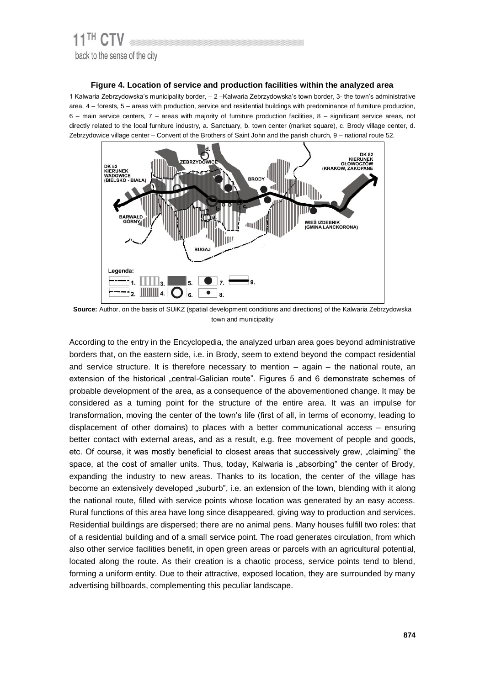#### **Figure 4. Location of service and production facilities within the analyzed area**

1 Kalwaria Zebrzydowska's municipality border, – 2 –Kalwaria Zebrzydowska's town border, 3- the town's administrative area, 4 – forests, 5 – areas with production, service and residential buildings with predominance of furniture production, 6 – main service centers, 7 – areas with majority of furniture production facilities, 8 – significant service areas, not directly related to the local furniture industry, a. Sanctuary, b. town center (market square), c. Brody village center, d. Zebrzydowice village center – Convent of the Brothers of Saint John and the parish church, 9 – national route 52.



**Source:** Author, on the basis of SUiKZ (spatial development conditions and directions) of the Kalwaria Zebrzydowska town and municipality

According to the entry in the Encyclopedia, the analyzed urban area goes beyond administrative borders that, on the eastern side, i.e. in Brody, seem to extend beyond the compact residential and service structure. It is therefore necessary to mention – again – the national route, an extension of the historical "central-Galician route". Figures 5 and 6 demonstrate schemes of probable development of the area, as a consequence of the abovementioned change. It may be considered as a turning point for the structure of the entire area. It was an impulse for transformation, moving the center of the town's life (first of all, in terms of economy, leading to displacement of other domains) to places with a better communicational access – ensuring better contact with external areas, and as a result, e.g. free movement of people and goods, etc. Of course, it was mostly beneficial to closest areas that successively grew, "claiming" the space, at the cost of smaller units. Thus, today, Kalwaria is "absorbing" the center of Brody, expanding the industry to new areas. Thanks to its location, the center of the village has become an extensively developed "suburb", i.e. an extension of the town, blending with it along the national route, filled with service points whose location was generated by an easy access. Rural functions of this area have long since disappeared, giving way to production and services. Residential buildings are dispersed; there are no animal pens. Many houses fulfill two roles: that of a residential building and of a small service point. The road generates circulation, from which also other service facilities benefit, in open green areas or parcels with an agricultural potential, located along the route. As their creation is a chaotic process, service points tend to blend, forming a uniform entity. Due to their attractive, exposed location, they are surrounded by many advertising billboards, complementing this peculiar landscape.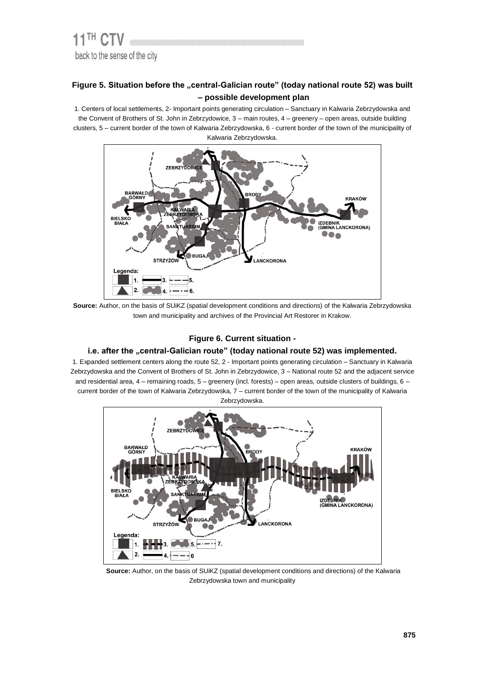## Figure 5. Situation before the "central-Galician route" (today national route 52) was built **– possible development plan**

1. Centers of local settlements, 2- Important points generating circulation – Sanctuary in Kalwaria Zebrzydowska and the Convent of Brothers of St. John in Zebrzydowice, 3 – main routes, 4 – greenery – open areas, outside building clusters, 5 – current border of the town of Kalwaria Zebrzydowska, 6 - current border of the town of the municipality of Kalwaria Zebrzydowska.



**Source:** Author, on the basis of SUiKZ (spatial development conditions and directions) of the Kalwaria Zebrzydowska town and municipality and archives of the Provincial Art Restorer in Krakow.

#### **Figure 6. Current situation -**

#### i.e. after the "central-Galician route" (today national route 52) was implemented.

1. Expanded settlement centers along the route 52, 2 - Important points generating circulation – Sanctuary in Kalwaria Zebrzydowska and the Convent of Brothers of St. John in Zebrzydowice, 3 – National route 52 and the adjacent service and residential area, 4 – remaining roads, 5 – greenery (incl. forests) – open areas, outside clusters of buildings, 6 – current border of the town of Kalwaria Zebrzydowska, 7 – current border of the town of the municipality of Kalwaria Zebrzydowska.



**Source:** Author, on the basis of SUiKZ (spatial development conditions and directions) of the Kalwaria Zebrzydowska town and municipality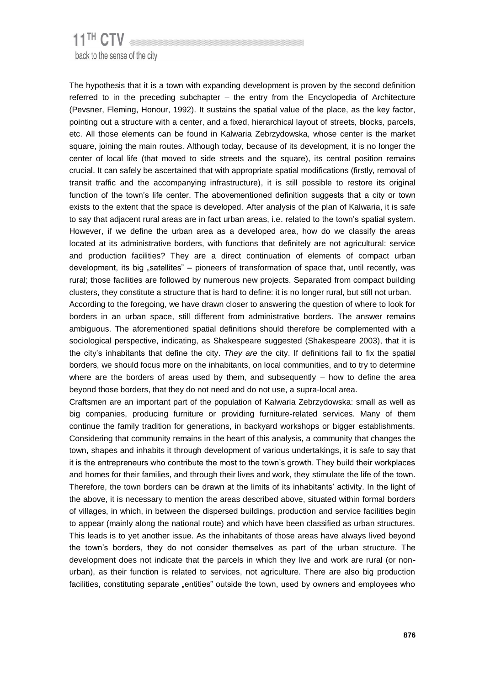# 11<sup>TH</sup> CTV back to the sense of the city

The hypothesis that it is a town with expanding development is proven by the second definition referred to in the preceding subchapter – the entry from the Encyclopedia of Architecture (Pevsner, Fleming, Honour, 1992). It sustains the spatial value of the place, as the key factor, pointing out a structure with a center, and a fixed, hierarchical layout of streets, blocks, parcels, etc. All those elements can be found in Kalwaria Zebrzydowska, whose center is the market square, joining the main routes. Although today, because of its development, it is no longer the center of local life (that moved to side streets and the square), its central position remains crucial. It can safely be ascertained that with appropriate spatial modifications (firstly, removal of transit traffic and the accompanying infrastructure), it is still possible to restore its original function of the town's life center. The abovementioned definition suggests that a city or town exists to the extent that the space is developed. After analysis of the plan of Kalwaria, it is safe to say that adjacent rural areas are in fact urban areas, i.e. related to the town's spatial system. However, if we define the urban area as a developed area, how do we classify the areas located at its administrative borders, with functions that definitely are not agricultural: service and production facilities? They are a direct continuation of elements of compact urban development, its big "satellites" – pioneers of transformation of space that, until recently, was rural; those facilities are followed by numerous new projects. Separated from compact building clusters, they constitute a structure that is hard to define: it is no longer rural, but still not urban.

According to the foregoing, we have drawn closer to answering the question of where to look for borders in an urban space, still different from administrative borders. The answer remains ambiguous. The aforementioned spatial definitions should therefore be complemented with a sociological perspective, indicating, as Shakespeare suggested (Shakespeare 2003), that it is the city's inhabitants that define the city. *They are* the city. If definitions fail to fix the spatial borders, we should focus more on the inhabitants, on local communities, and to try to determine where are the borders of areas used by them, and subsequently  $-$  how to define the area beyond those borders, that they do not need and do not use, a supra-local area.

Craftsmen are an important part of the population of Kalwaria Zebrzydowska: small as well as big companies, producing furniture or providing furniture-related services. Many of them continue the family tradition for generations, in backyard workshops or bigger establishments. Considering that community remains in the heart of this analysis, a community that changes the town, shapes and inhabits it through development of various undertakings, it is safe to say that it is the entrepreneurs who contribute the most to the town's growth. They build their workplaces and homes for their families, and through their lives and work, they stimulate the life of the town. Therefore, the town borders can be drawn at the limits of its inhabitants' activity. In the light of the above, it is necessary to mention the areas described above, situated within formal borders of villages, in which, in between the dispersed buildings, production and service facilities begin to appear (mainly along the national route) and which have been classified as urban structures. This leads is to yet another issue. As the inhabitants of those areas have always lived beyond the town's borders, they do not consider themselves as part of the urban structure. The development does not indicate that the parcels in which they live and work are rural (or nonurban), as their function is related to services, not agriculture. There are also big production facilities, constituting separate "entities" outside the town, used by owners and employees who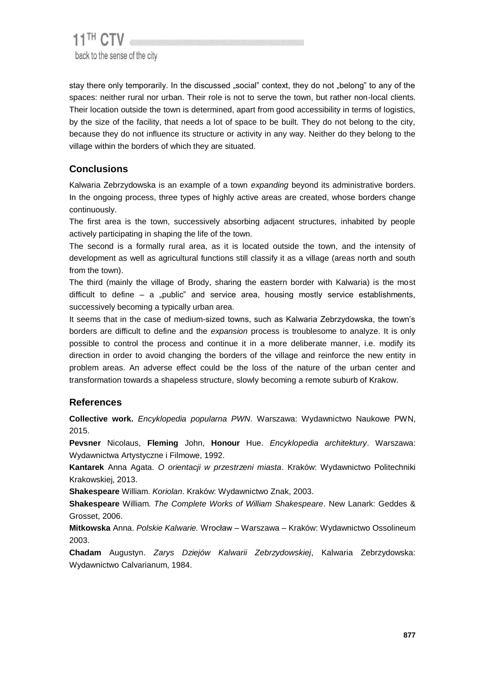stay there only temporarily. In the discussed "social" context, they do not "belong" to any of the spaces: neither rural nor urban. Their role is not to serve the town, but rather non-local clients. Their location outside the town is determined, apart from good accessibility in terms of logistics, by the size of the facility, that needs a lot of space to be built. They do not belong to the city, because they do not influence its structure or activity in any way. Neither do they belong to the village within the borders of which they are situated.

# **Conclusions**

Kalwaria Zebrzydowska is an example of a town *expanding* beyond its administrative borders. In the ongoing process, three types of highly active areas are created, whose borders change continuously.

The first area is the town, successively absorbing adjacent structures, inhabited by people actively participating in shaping the life of the town.

The second is a formally rural area, as it is located outside the town, and the intensity of development as well as agricultural functions still classify it as a village (areas north and south from the town).

The third (mainly the village of Brody, sharing the eastern border with Kalwaria) is the most difficult to define  $-$  a "public" and service area, housing mostly service establishments, successively becoming a typically urban area.

It seems that in the case of medium-sized towns, such as Kalwaria Zebrzydowska, the town's borders are difficult to define and the *expansion* process is troublesome to analyze. It is only possible to control the process and continue it in a more deliberate manner, i.e. modify its direction in order to avoid changing the borders of the village and reinforce the new entity in problem areas. An adverse effect could be the loss of the nature of the urban center and transformation towards a shapeless structure, slowly becoming a remote suburb of Krakow.

# **References**

**Collective work.** *Encyklopedia popularna PWN*. Warszawa: Wydawnictwo Naukowe PWN, 2015.

**Pevsner** Nicolaus, **Fleming** John, **Honour** Hue. *Encyklopedia architektury*. Warszawa: Wydawnictwa Artystyczne i Filmowe, 1992.

**Kantarek** Anna Agata. *O orientacji w przestrzeni miasta*. Kraków: Wydawnictwo Politechniki Krakowskiej, 2013.

**Shakespeare** William. *Koriolan*. Kraków: Wydawnictwo Znak, 2003.

**Shakespeare** William. *The Complete Works of William Shakespeare*. New Lanark: Geddes & Grosset, 2006.

**Mitkowska** Anna. *Polskie Kalwarie.* Wrocław – Warszawa – Kraków: Wydawnictwo Ossolineum 2003.

**Chadam** Augustyn. *Zarys Dziejów Kalwarii Zebrzydowskiej*, Kalwaria Zebrzydowska: Wydawnictwo Calvarianum, 1984.